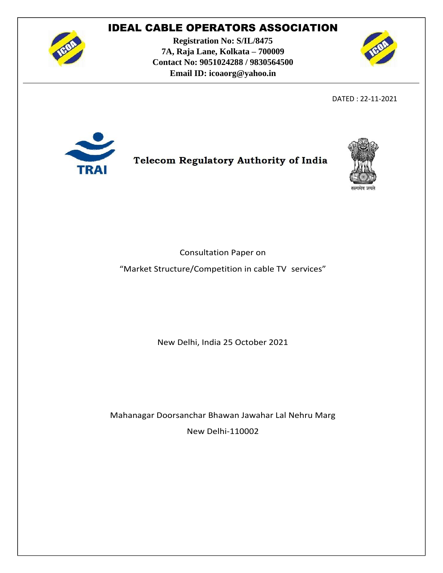

**Registration No: S/IL/8475 7A, Raja Lane, Kolkata – 700009 Contact No: 9051024288 / 9830564500 Email ID: icoaorg@yahoo.in**



DATED : 22-11-2021



### **Telecom Regulatory Authority of India**



Consultation Paper on

"Market Structure/Competition in cable TV services"

New Delhi, India 25 October 2021

Mahanagar Doorsanchar Bhawan Jawahar Lal Nehru Marg New Delhi-110002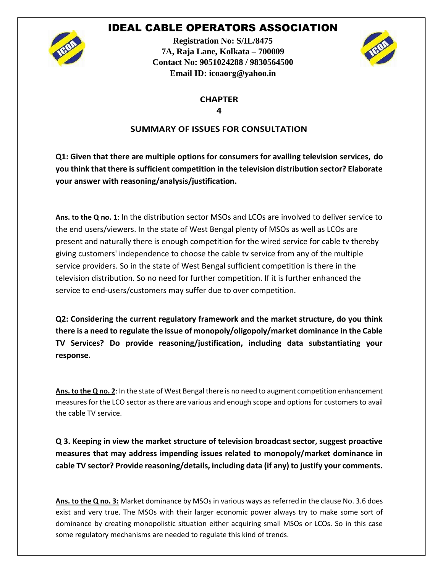

**Registration No: S/IL/8475 7A, Raja Lane, Kolkata – 700009 Contact No: 9051024288 / 9830564500 Email ID: icoaorg@yahoo.in**



#### **CHAPTER 4**

### **SUMMARY OF ISSUES FOR CONSULTATION**

**Q1: Given that there are multiple options for consumers for availing television services, do you think that there is sufficient competition in the television distribution sector? Elaborate your answer with reasoning/analysis/justification.**

**Ans. to the Q no. 1**: In the distribution sector MSOs and LCOs are involved to deliver service to the end users/viewers. In the state of West Bengal plenty of MSOs as well as LCOs are present and naturally there is enough competition for the wired service for cable tv thereby giving customers' independence to choose the cable tv service from any of the multiple service providers. So in the state of West Bengal sufficient competition is there in the television distribution. So no need for further competition. If it is further enhanced the service to end-users/customers may suffer due to over competition.

**Q2: Considering the current regulatory framework and the market structure, do you think there is a need to regulate the issue of monopoly/oligopoly/market dominance in the Cable TV Services? Do provide reasoning/justification, including data substantiating your response.**

**Ans. to the Q no. 2**: In the state of West Bengal there is no need to augment competition enhancement measures for the LCO sector as there are various and enough scope and options for customers to avail the cable TV service.

**Q 3. Keeping in view the market structure of television broadcast sector, suggest proactive measures that may address impending issues related to monopoly/market dominance in cable TV sector? Provide reasoning/details, including data (if any) to justify your comments.**

**Ans. to the Q no. 3:** Market dominance by MSOs in various ways as referred in the clause No. 3.6 does exist and very true. The MSOs with their larger economic power always try to make some sort of dominance by creating monopolistic situation either acquiring small MSOs or LCOs. So in this case some regulatory mechanisms are needed to regulate this kind of trends.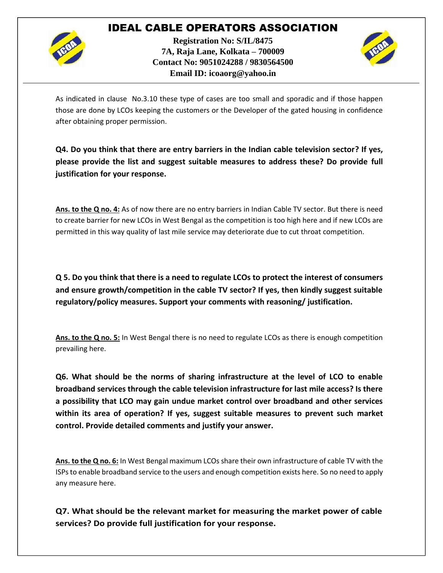

**Registration No: S/IL/8475 7A, Raja Lane, Kolkata – 700009 Contact No: 9051024288 / 9830564500 Email ID: icoaorg@yahoo.in**



As indicated in clause No.3.10 these type of cases are too small and sporadic and if those happen those are done by LCOs keeping the customers or the Developer of the gated housing in confidence after obtaining proper permission.

**Q4. Do you think that there are entry barriers in the Indian cable television sector? If yes, please provide the list and suggest suitable measures to address these? Do provide full justification for your response.**

**Ans. to the Q no. 4:** As of now there are no entry barriers in Indian Cable TV sector. But there is need to create barrier for new LCOs in West Bengal as the competition is too high here and if new LCOs are permitted in this way quality of last mile service may deteriorate due to cut throat competition.

**Q 5. Do you think that there is a need to regulate LCOs to protect the interest of consumers and ensure growth/competition in the cable TV sector? If yes, then kindly suggest suitable regulatory/policy measures. Support your comments with reasoning/ justification.**

**Ans. to the Q no. 5:** In West Bengal there is no need to regulate LCOs as there is enough competition prevailing here.

**Q6. What should be the norms of sharing infrastructure at the level of LCO to enable broadband services through the cable television infrastructure for last mile access? Is there a possibility that LCO may gain undue market control over broadband and other services within its area of operation? If yes, suggest suitable measures to prevent such market control. Provide detailed comments and justify your answer.**

**Ans. to the Q no. 6:** In West Bengal maximum LCOs share their own infrastructure of cable TV with the ISPs to enable broadband service to the users and enough competition exists here. So no need to apply any measure here.

**Q7. What should be the relevant market for measuring the market power of cable services? Do provide full justification for your response.**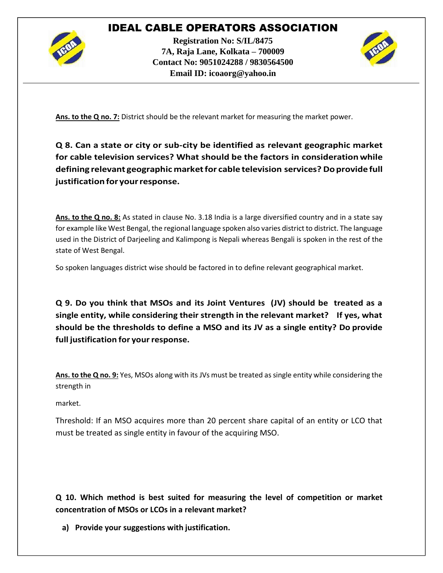

**Registration No: S/IL/8475 7A, Raja Lane, Kolkata – 700009 Contact No: 9051024288 / 9830564500 Email ID: icoaorg@yahoo.in**



**Ans. to the Q no. 7:** District should be the relevant market for measuring the market power.

**Q 8. Can a state or city or sub-city be identified as relevant geographic market for cable television services? What should be the factors in considerationwhile defining relevant geographic marketfor cable television services? Doprovidefull justificationfor yourresponse.**

**Ans. to the Q no. 8:** As stated in clause No. 3.18 India is a large diversified country and in a state say for example like West Bengal, the regional language spoken also varies district to district. The language used in the District of Darjeeling and Kalimpong is Nepali whereas Bengali is spoken in the rest of the state of West Bengal.

So spoken languages district wise should be factored in to define relevant geographical market.

**Q 9. Do you think that MSOs and its Joint Ventures (JV) should be treated as a single entity, while considering their strength in the relevant market? If yes, what should be the thresholds to define a MSO and its JV as a single entity? Do provide full** justification for your response.

**Ans. to the Q no. 9:** Yes, MSOs along with its JVs must be treated as single entity while considering the strength in

market.

Threshold: If an MSO acquires more than 20 percent share capital of an entity or LCO that must be treated as single entity in favour of the acquiring MSO.

**Q 10. Which method is best suited for measuring the level of competition or market concentration of MSOs or LCOs in a relevant market?**

**a) Provide your suggestions with justification.**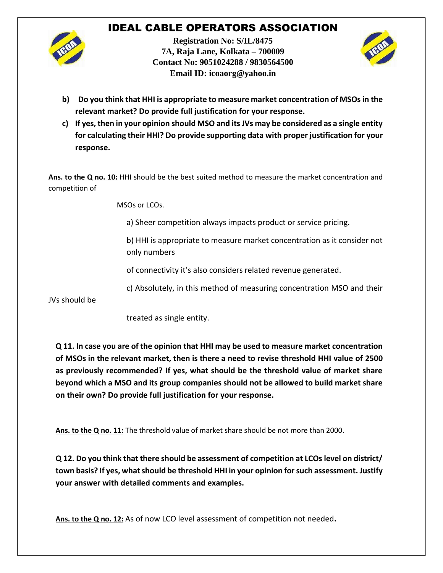

**Registration No: S/IL/8475 7A, Raja Lane, Kolkata – 700009 Contact No: 9051024288 / 9830564500 Email ID: icoaorg@yahoo.in**



- **b) Do you think that HHI is appropriate to measure market concentration of MSOs in the relevant market? Do provide full justification for your response.**
- **c) If yes, then in your opinion should MSO and its JVs may be considered as a single entity for calculating their HHI? Do provide supporting data with proper justification for your response.**

**Ans. to the Q no. 10:** HHI should be the best suited method to measure the market concentration and competition of

MSOs or LCOs.

a) Sheer competition always impacts product or service pricing.

b) HHI is appropriate to measure market concentration as it consider not only numbers

of connectivity it's also considers related revenue generated.

c) Absolutely, in this method of measuring concentration MSO and their

JVs should be

treated as single entity.

**Q 11. In case you are of the opinion that HHI may be used to measure market concentration of MSOs in the relevant market, then is there a need to revise threshold HHI value of 2500 as previously recommended? If yes, what should be the threshold value of market share beyond which a MSO and its group companies should not be allowed to build market share on their own? Do provide full justification for your response.**

**Ans. to the Q no. 11:** The threshold value of market share should be not more than 2000.

**Q 12. Do you think that there should be assessment of competition at LCOs level on district/ town basis? If yes, what should be threshold HHI in your opinion for such assessment. Justify your answer with detailed comments and examples.**

**Ans. to the Q no. 12:** As of now LCO level assessment of competition not needed**.**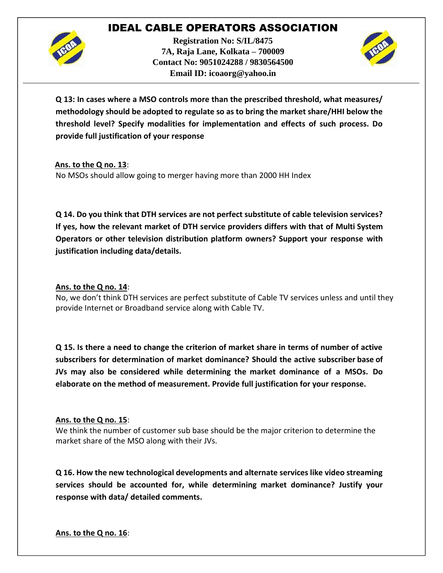

**Registration No: S/IL/8475 7A, Raja Lane, Kolkata – 700009 Contact No: 9051024288 / 9830564500 Email ID: icoaorg@yahoo.in**



**Q 13: In cases where a MSO controls more than the prescribed threshold, what measures/ methodology should be adopted to regulate so as to bring the market share/HHI below the threshold level? Specify modalities for implementation and effects of such process. Do provide full justification of your response**

**Ans. to the Q no. 13**:

No MSOs should allow going to merger having more than 2000 HH Index

**Q 14. Do you think that DTH services are not perfect substitute of cable television services? If yes, how the relevant market of DTH service providers differs with that of Multi System Operators or other television distribution platform owners? Support your response with justification including data/details.**

### **Ans. to the Q no. 14**:

No, we don't think DTH services are perfect substitute of Cable TV services unless and until they provide Internet or Broadband service along with Cable TV.

**Q 15. Is there a need to change the criterion of market share in terms of number of active subscribers for determination of market dominance? Should the active subscriber base of JVs may also be considered while determining the market dominance of a MSOs. Do elaborate on the method of measurement. Provide full justification for your response.**

### **Ans. to the Q no. 15**:

We think the number of customer sub base should be the major criterion to determine the market share of the MSO along with their JVs.

**Q 16. How the new technological developments and alternate services like video streaming services should be accounted for, while determining market dominance? Justify your response with data/ detailed comments.**

**Ans. to the Q no. 16**: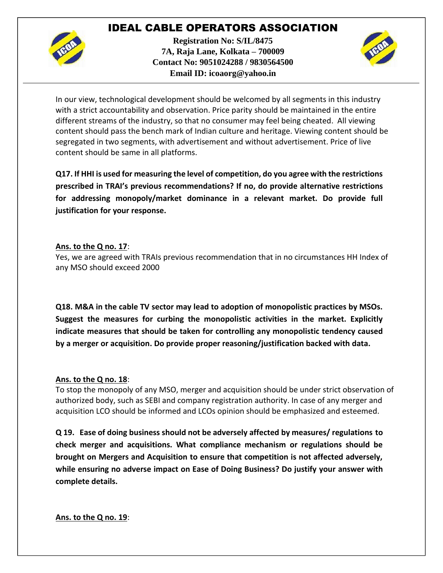

**Registration No: S/IL/8475 7A, Raja Lane, Kolkata – 700009 Contact No: 9051024288 / 9830564500 Email ID: icoaorg@yahoo.in**



In our view, technological development should be welcomed by all segments in this industry with a strict accountability and observation. Price parity should be maintained in the entire different streams of the industry, so that no consumer may feel being cheated. All viewing content should pass the bench mark of Indian culture and heritage. Viewing content should be segregated in two segments, with advertisement and without advertisement. Price of live content should be same in all platforms.

**Q17. If HHI is used for measuring the level of competition, do you agree with the restrictions prescribed in TRAI's previous recommendations? If no, do provide alternative restrictions for addressing monopoly/market dominance in a relevant market. Do provide full justification for your response.**

### **Ans. to the Q no. 17**:

Yes, we are agreed with TRAIs previous recommendation that in no circumstances HH Index of any MSO should exceed 2000

**Q18. M&A in the cable TV sector may lead to adoption of monopolistic practices by MSOs. Suggest the measures for curbing the monopolistic activities in the market. Explicitly indicate measures that should be taken for controlling any monopolistic tendency caused by a merger or acquisition. Do provide proper reasoning/justification backed with data.**

#### **Ans. to the Q no. 18**:

To stop the monopoly of any MSO, merger and acquisition should be under strict observation of authorized body, such as SEBI and company registration authority. In case of any merger and acquisition LCO should be informed and LCOs opinion should be emphasized and esteemed.

**Q 19. Ease of doing business should not be adversely affected by measures/ regulations to check merger and acquisitions. What compliance mechanism or regulations should be brought on Mergers and Acquisition to ensure that competition is not affected adversely, while ensuring no adverse impact on Ease of Doing Business? Do justify your answer with complete details.**

### **Ans. to the Q no. 19**: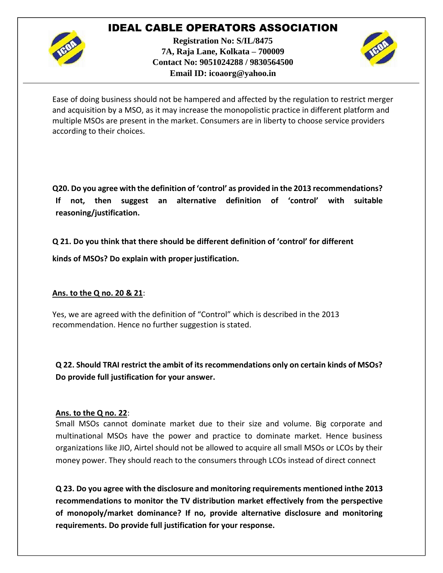

**Registration No: S/IL/8475 7A, Raja Lane, Kolkata – 700009 Contact No: 9051024288 / 9830564500 Email ID: icoaorg@yahoo.in**



Ease of doing business should not be hampered and affected by the regulation to restrict merger and acquisition by a MSO, as it may increase the monopolistic practice in different platform and multiple MSOs are present in the market. Consumers are in liberty to choose service providers according to their choices.

**Q20. Do you agree with the definition of 'control' as provided in the 2013 recommendations? If not, then suggest an alternative definition of 'control' with suitable reasoning/justification.**

**Q 21. Do you think that there should be different definition of 'control' for different**

**kinds of MSOs? Do explain with properjustification.**

#### **Ans. to the Q no. 20 & 21**:

Yes, we are agreed with the definition of "Control" which is described in the 2013 recommendation. Hence no further suggestion is stated.

**Q 22. Should TRAI restrict the ambit of its recommendations only on certain kinds of MSOs? Do provide full justification for your answer.**

#### **Ans. to the Q no. 22**:

Small MSOs cannot dominate market due to their size and volume. Big corporate and multinational MSOs have the power and practice to dominate market. Hence business organizations like JIO, Airtel should not be allowed to acquire all small MSOs or LCOs by their money power. They should reach to the consumers through LCOs instead of direct connect

**Q 23. Do you agree with the disclosure and monitoring requirements mentioned inthe 2013 recommendations to monitor the TV distribution market effectively from the perspective of monopoly/market dominance? If no, provide alternative disclosure and monitoring requirements. Do provide full justification for your response.**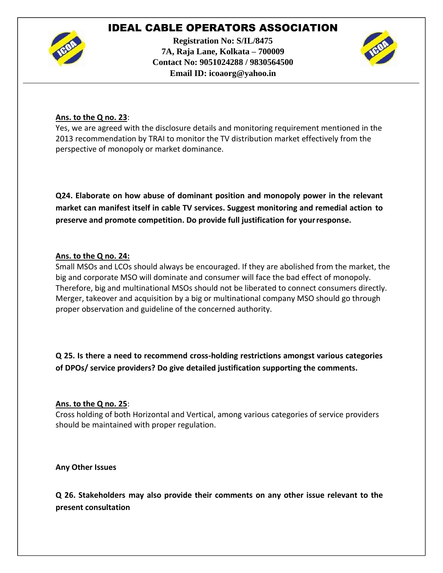

**Registration No: S/IL/8475 7A, Raja Lane, Kolkata – 700009 Contact No: 9051024288 / 9830564500 Email ID: icoaorg@yahoo.in**



### **Ans. to the Q no. 23**:

Yes, we are agreed with the disclosure details and monitoring requirement mentioned in the 2013 recommendation by TRAI to monitor the TV distribution market effectively from the perspective of monopoly or market dominance.

**Q24. Elaborate on how abuse of dominant position and monopoly power in the relevant market can manifest itself in cable TV services. Suggest monitoring and remedial action to preserve and promote competition. Do provide full justification for yourresponse.**

### **Ans. to the Q no. 24:**

Small MSOs and LCOs should always be encouraged. If they are abolished from the market, the big and corporate MSO will dominate and consumer will face the bad effect of monopoly. Therefore, big and multinational MSOs should not be liberated to connect consumers directly. Merger, takeover and acquisition by a big or multinational company MSO should go through proper observation and guideline of the concerned authority.

**Q 25. Is there a need to recommend cross-holding restrictions amongst various categories of DPOs/ service providers? Do give detailed justification supporting the comments.**

#### **Ans. to the Q no. 25**:

Cross holding of both Horizontal and Vertical, among various categories of service providers should be maintained with proper regulation.

**Any Other Issues**

**Q 26. Stakeholders may also provide their comments on any other issue relevant to the present consultation**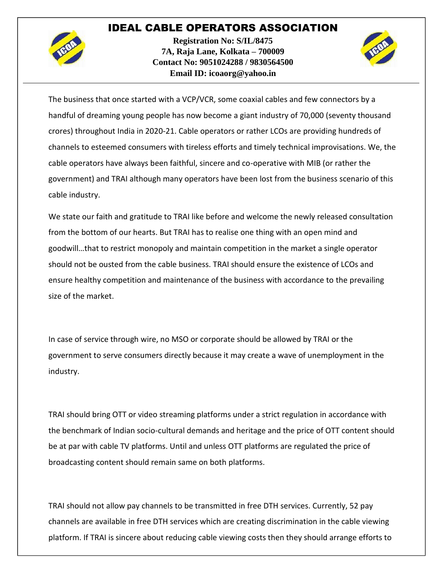

**Registration No: S/IL/8475 7A, Raja Lane, Kolkata – 700009 Contact No: 9051024288 / 9830564500 Email ID: icoaorg@yahoo.in**



The business that once started with a VCP/VCR, some coaxial cables and few connectors by a handful of dreaming young people has now become a giant industry of 70,000 (seventy thousand crores) throughout India in 2020-21. Cable operators or rather LCOs are providing hundreds of channels to esteemed consumers with tireless efforts and timely technical improvisations. We, the cable operators have always been faithful, sincere and co-operative with MIB (or rather the government) and TRAI although many operators have been lost from the business scenario of this cable industry.

We state our faith and gratitude to TRAI like before and welcome the newly released consultation from the bottom of our hearts. But TRAI has to realise one thing with an open mind and goodwill…that to restrict monopoly and maintain competition in the market a single operator should not be ousted from the cable business. TRAI should ensure the existence of LCOs and ensure healthy competition and maintenance of the business with accordance to the prevailing size of the market.

In case of service through wire, no MSO or corporate should be allowed by TRAI or the government to serve consumers directly because it may create a wave of unemployment in the industry.

TRAI should bring OTT or video streaming platforms under a strict regulation in accordance with the benchmark of Indian socio-cultural demands and heritage and the price of OTT content should be at par with cable TV platforms. Until and unless OTT platforms are regulated the price of broadcasting content should remain same on both platforms.

TRAI should not allow pay channels to be transmitted in free DTH services. Currently, 52 pay channels are available in free DTH services which are creating discrimination in the cable viewing platform. If TRAI is sincere about reducing cable viewing costs then they should arrange efforts to